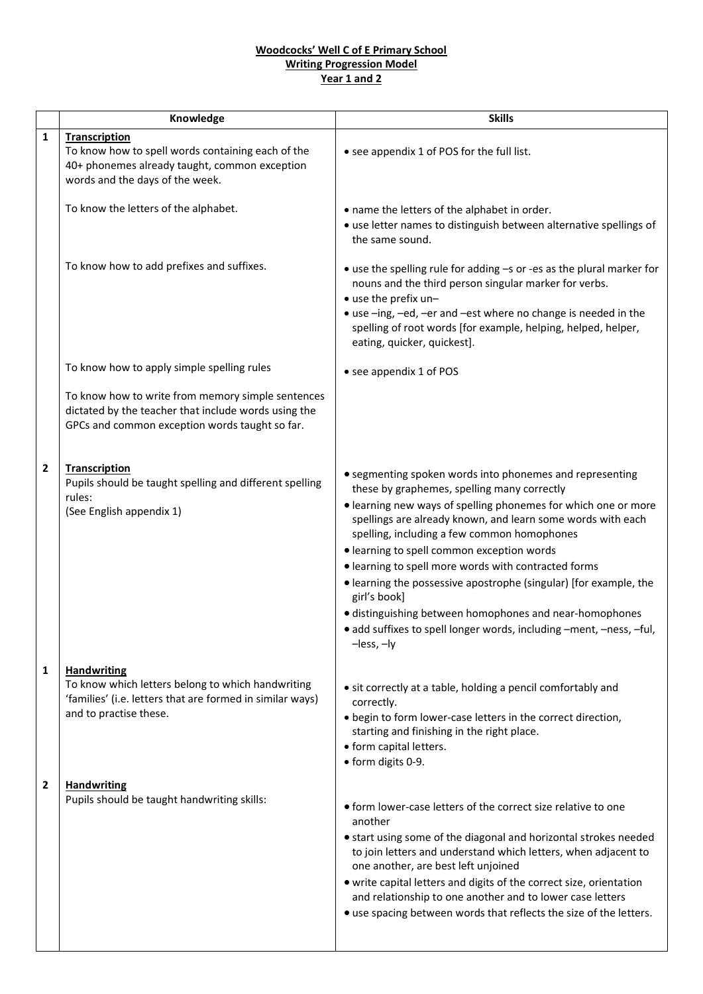## **Woodcocks' Well C of E Primary School Writing Progression Model Year 1 and 2**

|              | Knowledge                                                                                                                                                      | <b>Skills</b>                                                                                                                                                                                                                                                                                                                                                                                                                                                                                                                                                                                                                            |
|--------------|----------------------------------------------------------------------------------------------------------------------------------------------------------------|------------------------------------------------------------------------------------------------------------------------------------------------------------------------------------------------------------------------------------------------------------------------------------------------------------------------------------------------------------------------------------------------------------------------------------------------------------------------------------------------------------------------------------------------------------------------------------------------------------------------------------------|
| 1            | <b>Transcription</b><br>To know how to spell words containing each of the<br>40+ phonemes already taught, common exception<br>words and the days of the week.  | • see appendix 1 of POS for the full list.                                                                                                                                                                                                                                                                                                                                                                                                                                                                                                                                                                                               |
|              | To know the letters of the alphabet.                                                                                                                           | • name the letters of the alphabet in order.<br>• use letter names to distinguish between alternative spellings of<br>the same sound.                                                                                                                                                                                                                                                                                                                                                                                                                                                                                                    |
|              | To know how to add prefixes and suffixes.                                                                                                                      | • use the spelling rule for adding -s or -es as the plural marker for<br>nouns and the third person singular marker for verbs.<br>• use the prefix un-<br>• use -ing, -ed, -er and -est where no change is needed in the<br>spelling of root words [for example, helping, helped, helper,<br>eating, quicker, quickest].                                                                                                                                                                                                                                                                                                                 |
|              | To know how to apply simple spelling rules                                                                                                                     | • see appendix 1 of POS                                                                                                                                                                                                                                                                                                                                                                                                                                                                                                                                                                                                                  |
|              | To know how to write from memory simple sentences<br>dictated by the teacher that include words using the<br>GPCs and common exception words taught so far.    |                                                                                                                                                                                                                                                                                                                                                                                                                                                                                                                                                                                                                                          |
| $\mathbf{2}$ | <b>Transcription</b><br>Pupils should be taught spelling and different spelling<br>rules:<br>(See English appendix 1)                                          | • segmenting spoken words into phonemes and representing<br>these by graphemes, spelling many correctly<br>• learning new ways of spelling phonemes for which one or more<br>spellings are already known, and learn some words with each<br>spelling, including a few common homophones<br>· learning to spell common exception words<br>· learning to spell more words with contracted forms<br>• learning the possessive apostrophe (singular) [for example, the<br>girl's book]<br>· distinguishing between homophones and near-homophones<br>• add suffixes to spell longer words, including -ment, -ness, -ful,<br>$-$ less, $-$ ly |
| 1            | <b>Handwriting</b><br>To know which letters belong to which handwriting<br>'families' (i.e. letters that are formed in similar ways)<br>and to practise these. | • sit correctly at a table, holding a pencil comfortably and<br>correctly.<br>. begin to form lower-case letters in the correct direction,<br>starting and finishing in the right place.<br>• form capital letters.<br>· form digits 0-9.                                                                                                                                                                                                                                                                                                                                                                                                |
| 2            | <b>Handwriting</b><br>Pupils should be taught handwriting skills:                                                                                              | • form lower-case letters of the correct size relative to one<br>another<br>• start using some of the diagonal and horizontal strokes needed<br>to join letters and understand which letters, when adjacent to<br>one another, are best left unjoined<br>• write capital letters and digits of the correct size, orientation<br>and relationship to one another and to lower case letters<br>• use spacing between words that reflects the size of the letters.                                                                                                                                                                          |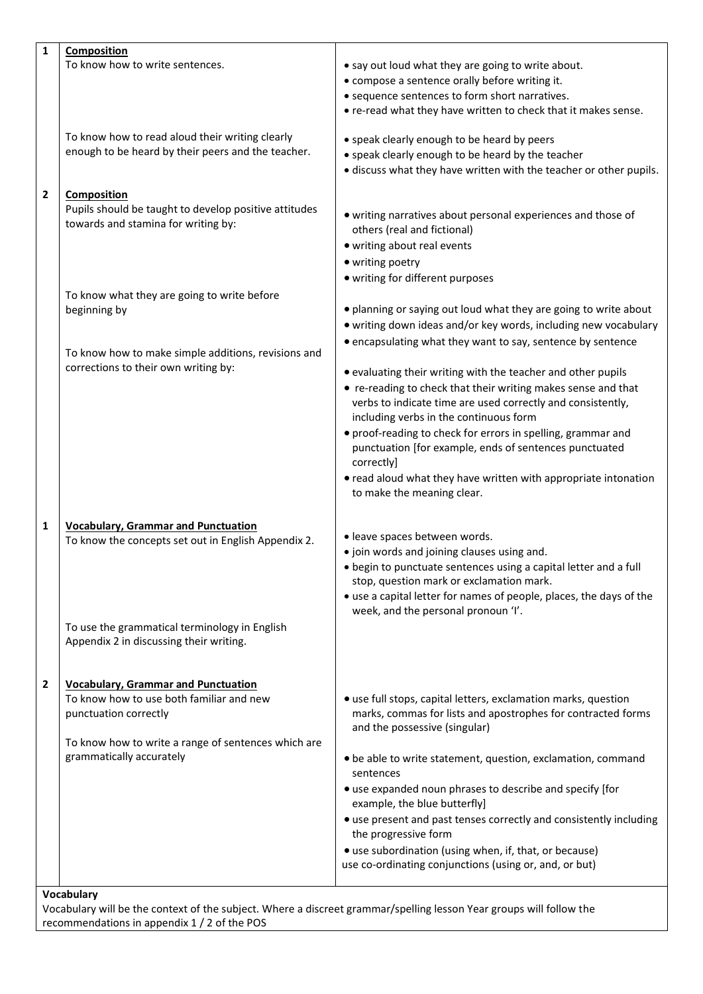| 1                       | <b>Composition</b><br>To know how to write sentences.                                                                                                                                              | • say out loud what they are going to write about.<br>• compose a sentence orally before writing it.<br>• sequence sentences to form short narratives.<br>• re-read what they have written to check that it makes sense.                                                                                                                                                                                                                                                                                                                                                                                                                                                              |  |  |  |
|-------------------------|----------------------------------------------------------------------------------------------------------------------------------------------------------------------------------------------------|---------------------------------------------------------------------------------------------------------------------------------------------------------------------------------------------------------------------------------------------------------------------------------------------------------------------------------------------------------------------------------------------------------------------------------------------------------------------------------------------------------------------------------------------------------------------------------------------------------------------------------------------------------------------------------------|--|--|--|
|                         | To know how to read aloud their writing clearly<br>enough to be heard by their peers and the teacher.                                                                                              | • speak clearly enough to be heard by peers<br>• speak clearly enough to be heard by the teacher<br>· discuss what they have written with the teacher or other pupils.                                                                                                                                                                                                                                                                                                                                                                                                                                                                                                                |  |  |  |
| $\overline{\mathbf{2}}$ | <b>Composition</b><br>Pupils should be taught to develop positive attitudes<br>towards and stamina for writing by:                                                                                 | • writing narratives about personal experiences and those of<br>others (real and fictional)<br>• writing about real events<br>• writing poetry<br>• writing for different purposes                                                                                                                                                                                                                                                                                                                                                                                                                                                                                                    |  |  |  |
|                         | To know what they are going to write before<br>beginning by<br>To know how to make simple additions, revisions and<br>corrections to their own writing by:                                         | . planning or saying out loud what they are going to write about<br>• writing down ideas and/or key words, including new vocabulary<br>• encapsulating what they want to say, sentence by sentence<br>• evaluating their writing with the teacher and other pupils<br>• re-reading to check that their writing makes sense and that<br>verbs to indicate time are used correctly and consistently,<br>including verbs in the continuous form<br>• proof-reading to check for errors in spelling, grammar and<br>punctuation [for example, ends of sentences punctuated<br>correctly]<br>• read aloud what they have written with appropriate intonation<br>to make the meaning clear. |  |  |  |
| 1                       | <b>Vocabulary, Grammar and Punctuation</b><br>To know the concepts set out in English Appendix 2.<br>To use the grammatical terminology in English<br>Appendix 2 in discussing their writing.      | · leave spaces between words.<br>· join words and joining clauses using and.<br>· begin to punctuate sentences using a capital letter and a full<br>stop, question mark or exclamation mark.<br>• use a capital letter for names of people, places, the days of the<br>week, and the personal pronoun 'I'.                                                                                                                                                                                                                                                                                                                                                                            |  |  |  |
| $\overline{2}$          | <b>Vocabulary, Grammar and Punctuation</b><br>To know how to use both familiar and new<br>punctuation correctly<br>To know how to write a range of sentences which are<br>grammatically accurately | • use full stops, capital letters, exclamation marks, question<br>marks, commas for lists and apostrophes for contracted forms<br>and the possessive (singular)<br>• be able to write statement, question, exclamation, command<br>sentences<br>• use expanded noun phrases to describe and specify [for<br>example, the blue butterfly]<br>• use present and past tenses correctly and consistently including<br>the progressive form<br>• use subordination (using when, if, that, or because)<br>use co-ordinating conjunctions (using or, and, or but)                                                                                                                            |  |  |  |
|                         | Vocabulary                                                                                                                                                                                         |                                                                                                                                                                                                                                                                                                                                                                                                                                                                                                                                                                                                                                                                                       |  |  |  |

Vocabulary will be the context of the subject. Where a discreet grammar/spelling lesson Year groups will follow the recommendations in appendix 1 / 2 of the POS